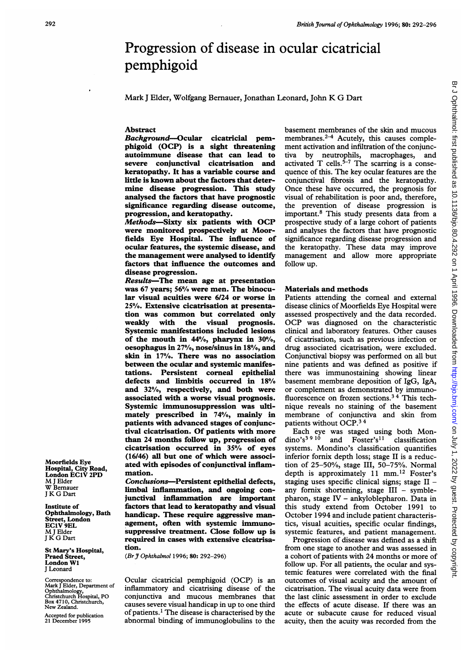# Progression of disease in ocular cicatricial pemphigoid

Mark <sup>J</sup> Elder, Wolfgang Bernauer, Jonathan Leonard, John K G Dart

## Abstract

Background-Ocular cicatricial pemphigoid (OCP) is a sight threatening autoimmune disease that can lead to severe conjunctival cicatrisation and keratopathy. It has a variable course and little is known about the factors that determine disease progression. This study analysed the factors that have prognostic significance regarding disease outcome, progression, and keratopathy.

Methods-Sixty six patients with OCP were monitored prospectively at Moorfields Eye Hospital. The influence of ocular features, the systemic disease, and the management were analysed to identify factors that influence the outcomes and disease progression.

Results-The mean age at presentation was 67 years; 56% were men. The binocular visual acuities were 6/24 or worse in 25%. Extensive cicatrisation at presentation was common but correlated only<br>weakly with the visual prognosis. visual prognosis. Systemic manifestations included lesions of the mouth in  $44\%$ , pharynx in  $30\%$ , oesophagus in 27%, nose/sinus in 18%, and skin in 17%. There was no association between the ocular and systemic manifestations. Persistent corneal epithelial defects and limbitis occurred in 18% and 32%, respectively, and both were associated with a worse visual prognosis. Systemic immunosuppression was ultimately prescribed in 74%, mainly in patients with advanced stages of conjunctival cicatrisation. Of patients with more than 24 months follow up, progression of cicatrisation occurred in 35% of eyes (16/46) all but one of which were associated with episodes of conjunctival inflammation.

Conclusions-Persistent epithelial defects, limbal inflammation, and ongoing conjunctival inflammation are important factors that lead to keratopathy and visual handicap. These require aggressive management, often with systemic immunosuppressive treatment. Close follow up is required in cases with extensive cicatrisation.

(Br J Ophthalmol 1996; 80: 292-296)

Ocular cicatricial pemphigoid (OCP) is an inflammatory and cicatrising disease of the conjunctiva and mucous membranes that causes severe visual handicap in up to one third of patients.' The disease is characterised by the abnormal binding of immunoglobulins to the basement membranes of the skin and mucous membranes. $2-4$  Acutely, this causes complement activation and infiltration of the conjunctiva by neutrophils, macrophages, and activated T cells. $5-7$  The scarring is a consequence of this. The key ocular features are the conjunctival fibrosis and the keratopathy. Once these have occurred, the prognosis for visual of rehabilitation is poor and, therefore, the prevention of disease progression is important.8 This study presents data from a prospective study of a large cohort of patients and analyses the factors that have prognostic significance regarding disease progression and the keratopathy. These data may improve management and allow more appropriate follow up.

#### Materials and methods

Patients attending the corneal and external disease clinics of Moorfields Eye Hospital were assessed prospectively and the data recorded. OCP was diagnosed on the characteristic clinical and laboratory features. Other causes of cicatrisation, such as previous infection or drug associated cicatrisation, were excluded. Conjunctival biopsy was performed on all but nine patients and was defined as positive if there was immunostaining showing linear basement membrane deposition of IgG, IgA, or complement as demonstrated by immunofluorescence on frozen sections.<sup>34</sup> This technique reveals no staining of the basement membrane of conjunctiva and skin from patients without OCP.3 <sup>4</sup>

Each eye was staged using both Mon-<br>dino's<sup>3910</sup> and Foster's<sup>11</sup> classification and  $Foster's<sup>11</sup>$  classification systems. Mondino's classification quantifies inferior fornix depth loss; stage II is a reduction of 25-50%, stage III, 50-75%. Normal depth is approximately 11 mm.<sup>12</sup> Foster's staging uses specific clinical signs; stage  $II$ any fornix shortening, stage  $III -$  symblepharon, stage IV - ankyloblepharon. Data in this study extend from October 1991 to October 1994 and include patient characteristics, visual acuities, specific ocular findings, systemic features, and patient management.

Progression of disease was defined as a shift from one stage to another and was assessed in a cohort of patients with 24 months or more of follow up. For all patients, the ocular and systemic features were correlated with the final outcomes of visual acuity and the amount of cicatrisation. The visual acuity data were from the last clinic assessment in order to exclude the effects of acute disease. If there was an acute or subacute cause for reduced visual acuity, then the acuity was recorded from the

Moorfields Eye Hospital, City Road, London EC1V 2PD M<sup>J</sup> Elder W Bemauer <sup>J</sup> KG Dart

Institute of Ophthalmology, Bath Street, London EC1V 9EL M<sup>J</sup> Elder <sup>J</sup> K G Dart

St Mary's Hospital, Praed Street, London WI J Leonard

Correspondence to: Mark <sup>J</sup> Elder, Department of Ophthalmology, Christchurch Hospital, PO Box 4710, Christchurch, New Zealand.

Accepted for publication 21 December 1995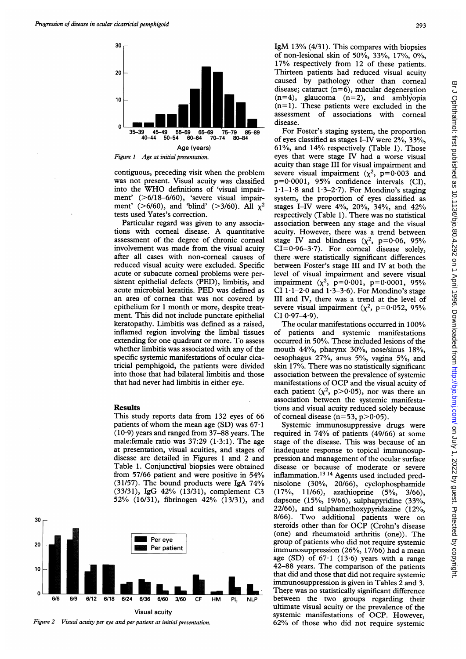

contiguous, preceding visit when the problem was not present. Visual acuity was classified into the WHO definitions of 'visual impairment' (>6/18-6/60), 'severe visual impairment' (>6/60), and 'blind' (>3/60). All  $\chi^2$ tests used Yates's correction.

Particular regard was given to any associations with corneal disease. A quantitative assessment of the degree of chronic corneal involvement was made from the visual acuity after all cases with non-corneal causes of reduced visual acuity were excluded. Specific acute or subacute corneal problems were persistent epithelial defects (PED), limbitis, and acute microbial keratitis. PED was defined as an area of cornea that was not covered by epithelium for <sup>1</sup> month or more, despite treatment. This did not include punctate epithelial keratopathy. Limbitis was defined as a raised, inflamed region involving the limbal tissues extending for one quadrant or more. To assess whether limbitis was associated with any of the specific systemic manifestations of ocular cicatricial pemphigoid, the patients were divided into those that had bilateral limbitis and those that had never had limbitis in either eye.

### **Results**

This study reports data from 132 eyes of 66 patients of whom the mean age  $(SD)$  was 67.1  $(10.9)$  years and ranged from 37-88 years. The male: female ratio was  $37:29$   $(1.3:1)$ . The age at presentation, visual acuities, and stages of disease are detailed in Figures <sup>1</sup> and 2 and Table 1. Conjunctival biopsies were obtained from 57/66 patient and were positive in 54% (31/57). The bound products were IgA 74% (33/31), IgG 42% (13/31), complement C3 52% (16/31), fibrinogen 42% (13/31), and



Figure 2 Visual acuity per eye and per patient at initial presentation.

IgM 13% (4/31). This compares with biopsies of non-lesional skin of 50%, 33%, 17%, 0%, 17% respectively from <sup>12</sup> of these patients. Thirteen patients had reduced visual acuity caused by pathology other than corneal disease; cataract  $(n=6)$ , macular degeneration  $(n=4)$ , glaucoma  $(n=2)$ , and amblyopia  $(n=1)$ . These patients were excluded in the assessment of associations with corneal disease.

For Foster's staging system, the proportion of eyes classified as stages I-IV were 2%, 33%, 61%, and 14% respectively (Table 1). Those eyes that were stage IV had a worse visual acuity than stage III for visual impairment and severe visual impairment  $(x^2, p=0.003$  and p=0 0001, 95% confidence intervals (CI),  $1·1-1·8$  and  $1·3-2·7$ ). For Mondino's staging system, the proportion of eyes classified as stages I-IV were 4%, 20%, 34%, and 42% respectively (Table 1). There was no statistical association between any stage and the visual acuity. However, there was a trend between stage IV and blindness  $(\chi^2, p=0.06, 95\%)$  $CI=0.96-3.7$ . For corneal disease solely, there were statistically significant differences between Foster's stage III and IV at both the level of visual impairment and severe visual impairment  $(\chi^2, p=0.001, p=0.0001, 95\%$ CI  $1 \cdot 1 - 2 \cdot 0$  and  $1 \cdot 3 - 3 \cdot 6$ ). For Mondino's stage III and IV, there was a trend at the level of severe visual impairment ( $\chi^2$ , p=0.052, 95%  $CI 0.97 - 4.9$ .

The ocular manifestations occurred in 100% of patients and systemic manifestations occurred in 50%. These included lesions of the mouth 44%, pharynx 30%, nose/sinus 18%, oesophagus 27%, anus 5%, vagina 5%, and skin 17%. There was no statistically significant association between the prevalence of systemic manifestations of OCP and the visual acuity of each patient ( $\chi^2$ , p>0.05), nor was there an association between the systemic manifestations and visual acuity reduced solely because of corneal disease ( $n=53$ ,  $p>0.05$ ).

Systemic immunosuppressive drugs were required in 74% of patients (49/66) at some stage of the disease. This was because of an inadequate response to topical immunosuppression and management of the ocular surface disease or because of moderate or severe inflammation.<sup>13 14</sup> Agents used included prednisolone (30%, 20/66), cyclophosphamide (17%, 11/66), azathioprine (5%, 3/66), dapsone (15%, 19/66), sulphapyridine (33%, 22/66), and sulphamethoxypyridazine (12%, 8/66). Two additional patients were on steroids other than for OCP (Crohn's disease (one) and rheumatoid arthritis (one)). The group of patients who did not require systemic immunosuppression (26%, 17/66) had <sup>a</sup> mean age (SD) of  $67·1$  (13·6) years with a range 42-88 years. The comparison of the patients that did and those that did not require systemic immunosuppression is given in Tables 2 and 3. There was no statistically significant difference between the two groups regarding their ultimate visual acuity or the prevalence of the systemic manifestations of OCP. However, 62% of those who did not require systemic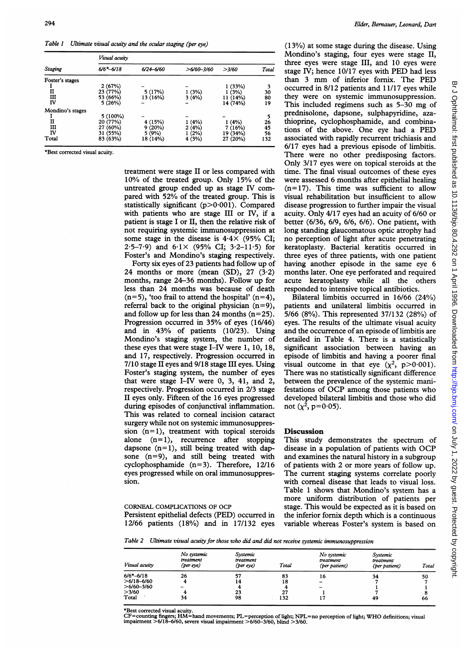Table <sup>1</sup> Ultimate visual acuity and the ocular staging (per eye)

|                  | Visual acuity |               |                |          |       |  |  |
|------------------|---------------|---------------|----------------|----------|-------|--|--|
| Staging          | $6/6 - 6/18$  | $6/24 - 6/60$ | $>6/60 - 3/60$ | >3/60    | Total |  |  |
| Foster's stages  |               |               |                |          |       |  |  |
|                  | 2(67%)        |               |                | 1(33%)   | 3     |  |  |
| п                | 23 (77%)      | 5(17%)        | 1(3%)          | 1(3%)    | 30    |  |  |
| ш                | 53 (66%)      | 13 (16%)      | 3(4%)          | 11 (14%) | 80    |  |  |
| ΙV               | 5(26%)        |               |                | 14 (74%) | 19    |  |  |
| Mondino's stages |               |               |                |          |       |  |  |
|                  | 5 (100%)      |               |                |          | 5     |  |  |
| п                | 20 (77%)      | 4 (15%)       | 1 (4%)         | (4%)     | 26    |  |  |
| Ш                | 27 (60%)      | 9(20%)        | 2(4%)          | 7(16%)   | 45    |  |  |
| ΙV               | 31 (55%)      | 5 (9%)        | (2%)           | 19 (34%) | 56    |  |  |
| Total            | 83 (63%)      | 18 (14%)      | 4 (3%)         | 27 (20%) | 132   |  |  |
|                  |               |               |                |          |       |  |  |

\*Best corrected visual acuity.

treatment were stage II or less compared with 10% of the treated group. Only 15% of the untreated group ended up as stage IV compared with 52% of the treated group. This is statistically significant  $(p>0.001)$ . Compared with patients who are stage III or IV, if a patient is stage <sup>I</sup> or II, then the relative risk of not requiring systemic immunosuppression at some stage in the disease is  $4.4 \times$  (95% CI; 2.5-7.9) and  $6.1 \times (95\% \text{ CI}; 3.2-11.5)$  for Foster's and Mondino's staging respectively.

Forty six eyes of 23 patients had follow up of 24 months or more (mean  $(SD)$ , 27  $(3.2)$ ) months, range 24-36 months). Follow up for less than 24 months was because of death  $(n=5)$ , 'too frail to attend the hospital'  $(n=4)$ , referral back to the original physician  $(n=9)$ , and follow up for less than 24 months  $(n=25)$ . Progression occurred in 35% of eyes (16/46) and in 43% of patients (10/23). Using Mondino's staging system, the number of these eyes that were stage I-IV were 1, 10, 18, and 17, respectively. Progression occurred in 7/10 stage II eyes and 9/18 stage III eyes. Using Foster's staging system, the number of eyes that were stage I-IV were 0, 3, 41, and 2, respectively. Progression occurred in 2/3 stage II eyes only. Fifteen of the 16 eyes progressed during episodes of conjunctival inflammation. This was related to corneal incision cataract surgery while not on systemic immunosuppression  $(n=1)$ , treatment with topical steroids alone  $(n=1)$ , recurrence after stopping dapsone  $(n=1)$ , still being treated with dapsone (n=9), and still being treated with cyclophosphamide (n=3). Therefore, 12/16 eyes progressed while on oral immunosuppression.

CORNEAL COMPLICATIONS OF OCP Persistent epithelial defects (PED) occurred in 12/66 patients (18%) and in 17/132 eyes

(13%) at some stage during the disease. Using Mondino's staging, four eyes were stage II, three eyes were stage III, and 10 eyes were stage IV; hence 10/17 eyes with PED had less than <sup>3</sup> mm of inferior fomix. The PED occurred in 8/12 patients and 11/17 eyes while they were on systemic immunosuppression. This included regimens such as 5-30 mg of prednisolone, dapsone, sulphapyridine, azathioprine, cyclophosphamide, and combinations of the above. One eye had <sup>a</sup> PED associated with rapidly recurrent trichiasis and 6/17 eyes had a previous episode of limbitis. There were no other predisposing factors. Only 3/17 eyes were on topical steroids at the time. The final visual outcomes of these eyes were assessed 6 months after epithelial healing  $(n=17)$ . This time was sufficient to allow visual rehabilitation but insufficient to allow disease progression to further impair the visual acuity. Only 4/17 eyes had an acuity of 6/60 or better (6/36, 6/9, 6/6, 6/6). One patient, with long standing glaucomatous optic atrophy had no perception of light after acute penetrating keratoplasty. Bacterial keratitis occurred in three eyes of three patients, with one patient having another episode in the same eye 6 months later. One eye perforated and required acute keratoplasty while all the others responded to intensive topical antibiotics.

Bilateral limbitis occurred in 16/66 (24%) patients and unilateral limbitis occurred in 5/66 (8%). This represented 37/132 (28%) of eyes. The results of the ultimate visual acuity and the occurrence of an episode of limbitis are detailed in Table 4. There is a statistically significant association between having an episode of limbitis and having a poorer final visual outcome in that eye  $(\chi^2, p > 0.001)$ . There was no statistically significant difference between the prevalence of the systemic manifestations of OCP among those patients who developed bilateral limbitis and those who did not  $(x^2, p=0.05)$ .

## **Discussion**

This study demonstrates the spectrum of disease in <sup>a</sup> population of patients with OCP and examines the natural history in a subgroup of patients with 2 or more years of follow up. The current staging systems correlate poorly with corneal disease that leads to visual loss. Table <sup>1</sup> shows that Mondino's system has a more uniform distribution of patients per stage. This would be expected as it is based on the inferior fornix depth which is a continuous variable whereas Foster's system is based on

Table 2 Ultimate visual acuity for those who did and did not receive systemic immunosuppression

| Visual acuity | No systemic<br>treatment<br>(per eye) | Systemic<br>treatment<br>(per eye) | Total | No systemic<br>treatment<br>(per patient) | Systemic<br>treatment<br>(per patient) | Total |
|---------------|---------------------------------------|------------------------------------|-------|-------------------------------------------|----------------------------------------|-------|
| $6/6*-6/18$   | 26                                    |                                    | 83    | 16                                        | 34                                     | 50    |
| $>6/18-6/60$  | 4                                     | ι4                                 | 18    | -                                         |                                        |       |
| $>6/60-3/60$  |                                       |                                    |       | -                                         |                                        |       |
| >3/60         | 4                                     | 23                                 | 27    |                                           |                                        |       |
| Total         | 34                                    | 98                                 | 132   |                                           | 49                                     | 66    |

\*Best corrected visual acuity.

CF=counting fingers; HM=hand movements; PL=perception of light; NPL=no perception of light; WHO definitions; visual impairment >6/18-6/60, severe visual impairment >6/60-3/60, blind >3/60.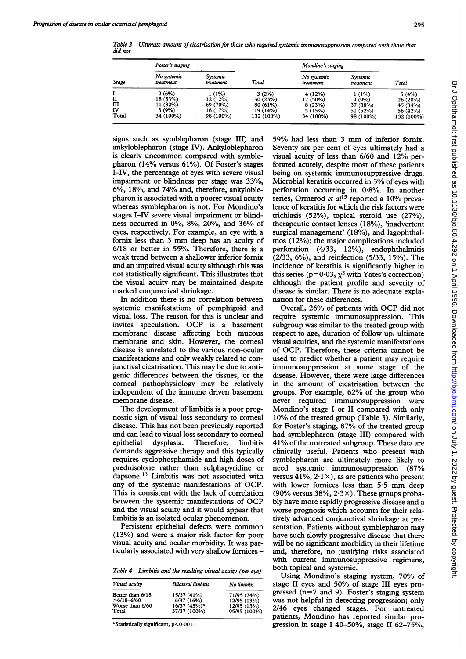Table 3 Ultimate amount of cicatrisation for those who required systemic immunosuppression compared with those that did not

| Stage                 | Foster's staging                                    |                                                         |                                                         | Mondino's staging                                   |                                                        |                                                        |
|-----------------------|-----------------------------------------------------|---------------------------------------------------------|---------------------------------------------------------|-----------------------------------------------------|--------------------------------------------------------|--------------------------------------------------------|
|                       | No systemic<br>treatment                            | Systemic<br>treatment                                   | Total                                                   | No systemic<br>treatment                            | Systemic<br>treatment                                  | Total                                                  |
| п<br>Ш<br>IV<br>Total | 2(6%)<br>18 (53%)<br>11 (32%)<br>3(9%)<br>34 (100%) | 1 (1%)<br>12 (12%)<br>69 (70%)<br>16 (17%)<br>98 (100%) | 3(2%)<br>30 (23%)<br>80 (61%)<br>19 (14%)<br>132 (100%) | 4(12%)<br>17 (50%)<br>8(23%)<br>5(15%)<br>34 (100%) | $1(1\%)$<br>9(9%)<br>37 (38%)<br>51 (52%)<br>98 (100%) | 5(4%)<br>26(20%)<br>45 (34%)<br>56 (42%)<br>132 (100%) |

signs such as symblepharon (stage III) and ankyloblepharon (stage IV). Ankyloblepharon is clearly uncommon compared with symblepharon (14% versus 61%). Of Foster's stages I-IV, the percentage of eyes with severe visual impairment or blindness per stage was 33%, 6%, 18%, and 74% and, therefore, ankyloblepharon is associated with a poorer visual acuity whereas symblepharon is not. For Mondino's stages I-IV severe visual impairment or blindness occurred in 0%, 8%, 20%, and 36% of eyes, respectively. For example, an eye with a fornix less than <sup>3</sup> mm deep has an acuity of 6/18 or better in 55%. Therefore, there is a weak trend between a shallower inferior fornix and an impaired visual acuity although this was not statistically significant. This illustrates that the visual acuity may be maintained despite marked conjunctival shrinkage.

In addition there is no correlation between systemic manifestations of pemphigoid and visual loss. The reason for this is unclear and invites speculation. OCP is <sup>a</sup> basement membrane disease affecting both mucous membrane and skin. However, the corneal disease is unrelated to the various non-ocular manifestations and only weakly related to conjunctival cicatrisation. This may be due to antigenic differences between the tissues, or the corneal pathophysiology may be relatively independent of the immune driven basement membrane disease.

The development of limbitis is a poor prognostic sign of visual loss secondary to corneal disease. This has not been previously reported and can lead to visual loss secondary to comeal epithelial dysplasia. Therefore, limbitis demands aggressive therapy and this typically requires cyclophosphamide and high doses of prednisolone rather than sulphapyridine or dapsone.<sup>13</sup> Limbitis was not associated with any of the systemic manifestations of OCP. This is consistent with the lack of correlation between the systemic manifestations of OCP and the visual acuity and it would appear that limbitis is an isolated ocular phenomenon.

Persistent epithelial defects were common (13%) and were a major risk factor for poor visual acuity and ocular morbidity. It was particularly associated with very shallow fomices -

Table 4 Limbitis and the resulting visual acuity (per eye)

| Visual acuity    | <b>Bilateral limbitis</b> | No limbitis  |  |
|------------------|---------------------------|--------------|--|
| Better than 6/18 | 15/37 (41%)               | 71/95 (74%)  |  |
| $>6/18 - 6/60$   | 6/37(16%)                 | 12/95 (13%)  |  |
| Worse than 6/60  | 16/37 (43%)*              | 12/95 (13%)  |  |
| Total            | 37/37 (100%)              | 95/95 (100%) |  |

\*Statistically significant,  $p < 0.001$ .

59% had less than <sup>3</sup> mm of inferior fomix. Seventy six per cent of eyes ultimately had a visual acuity of less than 6/60 and 12% perforated acutely, despite most of these patients being on systemic immunosuppressive drugs. Microbial keratitis occurred in 3% of eyes with perforation occurring in  $0.8\%$ . In another series, Ormerod et al<sup>15</sup> reported a 10% prevalence of keratitis for which the risk factors were trichiasis (52%), topical steroid use (27%), therapeutic contact lenses (18%), 'inadvertent surgical management' (18%), and lagophthalmos (12%); the major complications included perforation (4/33, 12%), endophthalmitis (2/33, 6%), and reinfection (5/33, 15%). The incidence of keratitis is significantly higher in this series ( $p=0.03$ ,  $\chi^2$  with Yates's correction) although the patient profile and severity of disease is similar. There is no adequate explanation for these differences.

Overall, 26% of patients with OCP did not require systemic immunosuppression. This subgroup was similar to the treated group with respect to age, duration of follow up, ultimate visual acuities, and the systemic manifestations of OCP. Therefore, these criteria cannot be used to predict whether a patient may require immunosuppression at some stage of the disease. However, there were large differences in the amount of cicatrisation between the groups. For example, 62% of the group who never required immunosuppression were Mondino's stage <sup>I</sup> or II compared with only 10% of the treated group (Table 3). Similarly, for Foster's staging, 87% of the treated group had symblepharon (stage III) compared with 41% of the untreated subgroup. These data are clinically useful. Patients who present with symblepharon are ultimately more likely to need systemic immunosuppression (87% versus  $41\%, 2.1 \times$ , as are patients who present with lower fornices less than 5-5 mm deep (90% versus 38%,  $2.3 \times$ ). These groups probably have more rapidly progressive disease and a worse prognosis which accounts for their relatively advanced conjunctival shrinkage at presentation. Patients without symblepharon may have such slowly progressive disease that there will be no significant morbidity in their lifetime and, therefore, no justifying risks associated with current immunosuppressive regimens, both topical and systemic.

Using Mondino's staging system, 70% of stage II eyes and 50% of stage III eyes progressed  $(n=7 \text{ and } 9)$ . Foster's staging system was not helpful in detecting progression; only 2/46 eyes changed stages. For untreated patients, Mondino has reported similar progression in stage <sup>I</sup> 40-50%, stage II 62-75%,